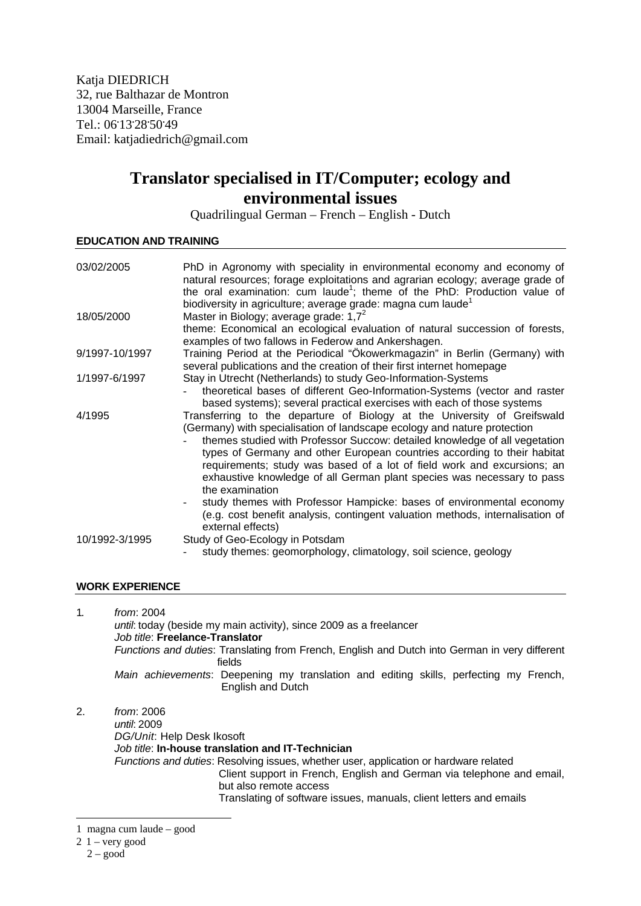Katja DIEDRICH 32, rue Balthazar de Montron 13004 Marseille, France Tel.: 06**.** 13**.** 28**.** 50**.** 49 Email: katjadiedrich@gmail.com

## **Translator specialised in IT/Computer; ecology and environmental issues**

Quadrilingual German – French – English - Dutch

## **EDUCATION AND TRAINING**

| 03/02/2005     | PhD in Agronomy with speciality in environmental economy and economy of<br>natural resources; forage exploitations and agrarian ecology; average grade of<br>the oral examination: cum laude <sup>1</sup> ; theme of the PhD: Production value of                                                                                                                                                                                                                                                                                                                                                                                               |
|----------------|-------------------------------------------------------------------------------------------------------------------------------------------------------------------------------------------------------------------------------------------------------------------------------------------------------------------------------------------------------------------------------------------------------------------------------------------------------------------------------------------------------------------------------------------------------------------------------------------------------------------------------------------------|
| 18/05/2000     | biodiversity in agriculture; average grade: magna cum laude <sup>1</sup><br>Master in Biology; average grade: $1,72$<br>theme: Economical an ecological evaluation of natural succession of forests,                                                                                                                                                                                                                                                                                                                                                                                                                                            |
| 9/1997-10/1997 | examples of two fallows in Federow and Ankershagen.<br>Training Period at the Periodical "Ökowerkmagazin" in Berlin (Germany) with<br>several publications and the creation of their first internet homepage                                                                                                                                                                                                                                                                                                                                                                                                                                    |
| 1/1997-6/1997  | Stay in Utrecht (Netherlands) to study Geo-Information-Systems<br>theoretical bases of different Geo-Information-Systems (vector and raster<br>based systems); several practical exercises with each of those systems                                                                                                                                                                                                                                                                                                                                                                                                                           |
| 4/1995         | Transferring to the departure of Biology at the University of Greifswald<br>(Germany) with specialisation of landscape ecology and nature protection<br>themes studied with Professor Succow: detailed knowledge of all vegetation<br>types of Germany and other European countries according to their habitat<br>requirements; study was based of a lot of field work and excursions; an<br>exhaustive knowledge of all German plant species was necessary to pass<br>the examination<br>study themes with Professor Hampicke: bases of environmental economy<br>(e.g. cost benefit analysis, contingent valuation methods, internalisation of |
| 10/1992-3/1995 | external effects)<br>Study of Geo-Ecology in Potsdam<br>study themes: geomorphology, climatology, soil science, geology                                                                                                                                                                                                                                                                                                                                                                                                                                                                                                                         |

## **WORK EXPERIENCE**

1. *from*: 2004 *until*: today (beside my main activity), since 2009 as a freelancer *Job title*: **Freelance-Translator** *Functions and duties*: Translating from French, English and Dutch into German in very different fields *Main achievements*: Deepening my translation and editing skills, perfecting my French, English and Dutch 2. *from*: 2006 *until*: 2009

*DG/Unit*: Help Desk Ikosoft *Job title*: **In-house translation and IT-Technician** *Functions and duties*: Resolving issues, whether user, application or hardware related Client support in French, English and German via telephone and email, but also remote access Translating of software issues, manuals, client letters and emails

-

<sup>1</sup> magna cum laude – good

 $2\,1$  – very good